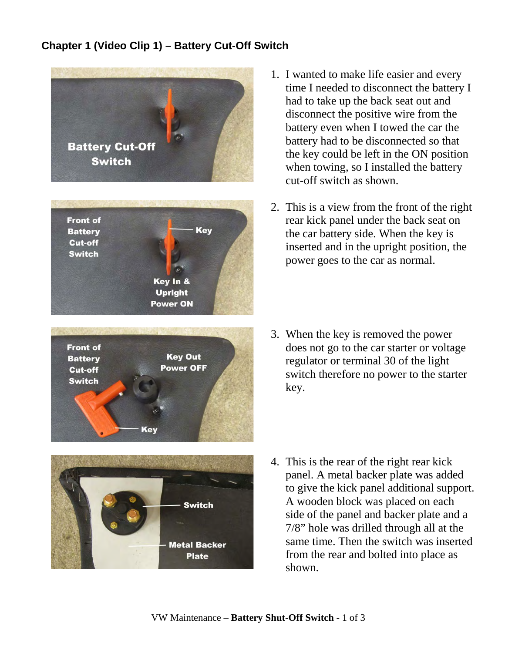## **Chapter 1 (Video Clip 1) – Battery Cut-Off Switch**









- 1. I wanted to make life easier and every time I needed to disconnect the battery I had to take up the back seat out and disconnect the positive wire from the battery even when I towed the car the battery had to be disconnected so that the key could be left in the ON position when towing, so I installed the battery cut-off switch as shown.
- 2. This is a view from the front of the right rear kick panel under the back seat on the car battery side. When the key is inserted and in the upright position, the power goes to the car as normal.
- 3. When the key is removed the power does not go to the car starter or voltage regulator or terminal 30 of the light switch therefore no power to the starter key.
- 4. This is the rear of the right rear kick panel. A metal backer plate was added to give the kick panel additional support. A wooden block was placed on each side of the panel and backer plate and a 7/8" hole was drilled through all at the same time. Then the switch was inserted from the rear and bolted into place as shown.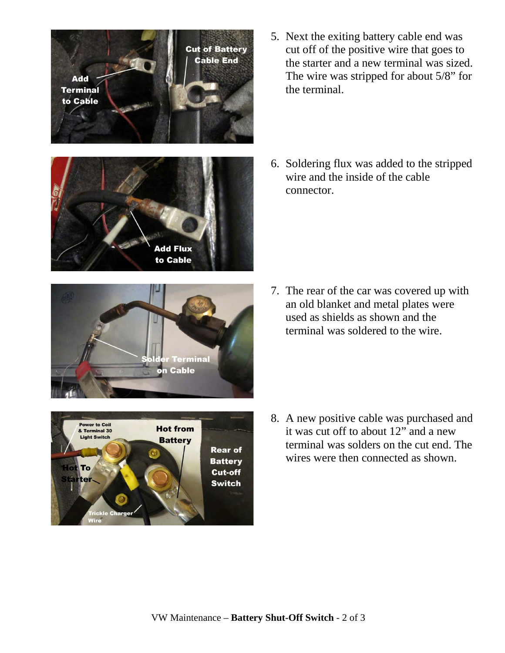

- 5. Next the exiting battery cable end was cut off of the positive wire that goes to the starter and a new terminal was sized. The wire was stripped for about 5/8" for the terminal.
- 6. Soldering flux was added to the stripped wire and the inside of the cable connector.



- **Power to Coil Hot from** & Terminal 30 **Light Switch Battery Rear of Battery** To Cut-off iter **Switch rickle Char**
- 7. The rear of the car was covered up with an old blanket and metal plates were used as shields as shown and the terminal was soldered to the wire.

8. A new positive cable was purchased and it was cut off to about 12" and a new terminal was solders on the cut end. The wires were then connected as shown.